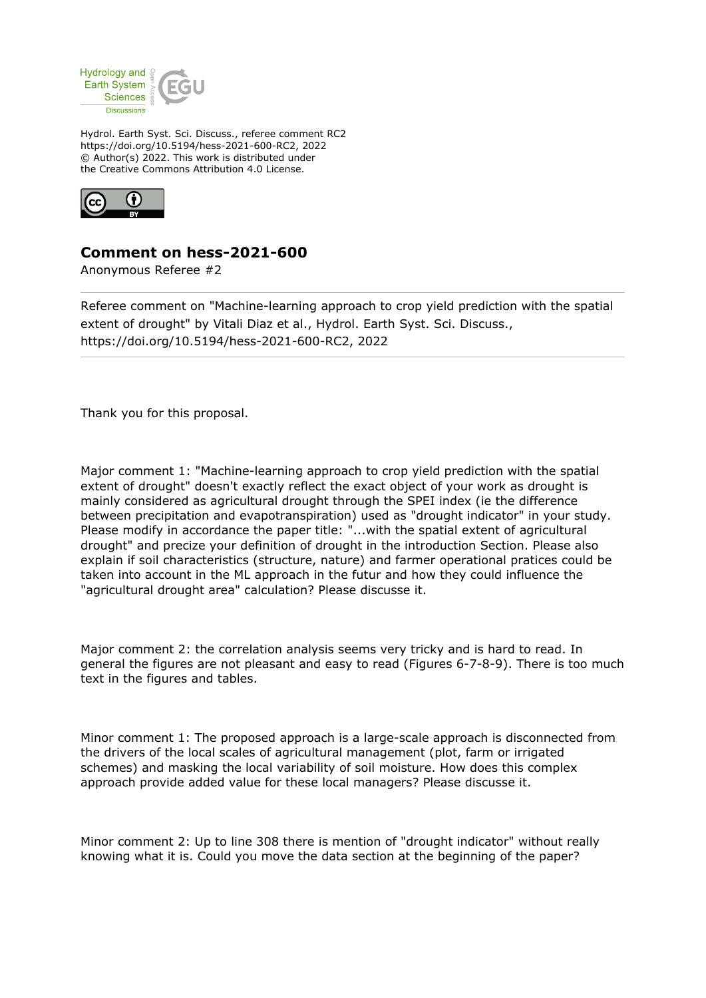

Hydrol. Earth Syst. Sci. Discuss., referee comment RC2 https://doi.org/10.5194/hess-2021-600-RC2, 2022 © Author(s) 2022. This work is distributed under the Creative Commons Attribution 4.0 License.



## **Comment on hess-2021-600**

Anonymous Referee #2

Referee comment on "Machine-learning approach to crop yield prediction with the spatial extent of drought" by Vitali Diaz et al., Hydrol. Earth Syst. Sci. Discuss., https://doi.org/10.5194/hess-2021-600-RC2, 2022

Thank you for this proposal.

Major comment 1: "Machine-learning approach to crop yield prediction with the spatial extent of drought" doesn't exactly reflect the exact object of your work as drought is mainly considered as agricultural drought through the SPEI index (ie the difference between precipitation and evapotranspiration) used as "drought indicator" in your study. Please modify in accordance the paper title: "...with the spatial extent of agricultural drought" and precize your definition of drought in the introduction Section. Please also explain if soil characteristics (structure, nature) and farmer operational pratices could be taken into account in the ML approach in the futur and how they could influence the "agricultural drought area" calculation? Please discusse it.

Major comment 2: the correlation analysis seems very tricky and is hard to read. In general the figures are not pleasant and easy to read (Figures 6-7-8-9). There is too much text in the figures and tables.

Minor comment 1: The proposed approach is a large-scale approach is disconnected from the drivers of the local scales of agricultural management (plot, farm or irrigated schemes) and masking the local variability of soil moisture. How does this complex approach provide added value for these local managers? Please discusse it.

Minor comment 2: Up to line 308 there is mention of "drought indicator" without really knowing what it is. Could you move the data section at the beginning of the paper?